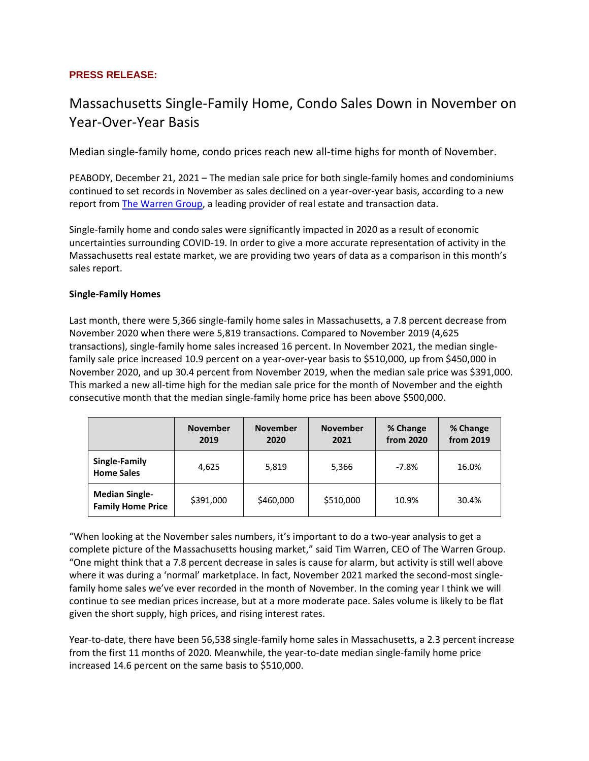## **PRESS RELEASE:**

# Massachusetts Single-Family Home, Condo Sales Down in November on Year-Over-Year Basis

Median single-family home, condo prices reach new all-time highs for month of November.

PEABODY, December 21, 2021 – The median sale price for both single-family homes and condominiums continued to set records in November as sales declined on a year-over-year basis, according to a new report from **The Warren Group**, a leading provider of real estate and transaction data.

Single-family home and condo sales were significantly impacted in 2020 as a result of economic uncertainties surrounding COVID-19. In order to give a more accurate representation of activity in the Massachusetts real estate market, we are providing two years of data as a comparison in this month's sales report.

#### **Single-Family Homes**

Last month, there were 5,366 single-family home sales in Massachusetts, a 7.8 percent decrease from November 2020 when there were 5,819 transactions. Compared to November 2019 (4,625 transactions), single-family home sales increased 16 percent. In November 2021, the median singlefamily sale price increased 10.9 percent on a year-over-year basis to \$510,000, up from \$450,000 in November 2020, and up 30.4 percent from November 2019, when the median sale price was \$391,000. This marked a new all-time high for the median sale price for the month of November and the eighth consecutive month that the median single-family home price has been above \$500,000.

|                                                   | <b>November</b><br>2019 | <b>November</b><br>2020 | <b>November</b><br>2021 | % Change<br>from 2020 | % Change<br>from 2019 |
|---------------------------------------------------|-------------------------|-------------------------|-------------------------|-----------------------|-----------------------|
| Single-Family<br><b>Home Sales</b>                | 4,625                   | 5,819                   | 5,366                   | $-7.8%$               | 16.0%                 |
| <b>Median Single-</b><br><b>Family Home Price</b> | \$391,000               | \$460,000               | \$510,000               | 10.9%                 | 30.4%                 |

"When looking at the November sales numbers, it's important to do a two-year analysis to get a complete picture of the Massachusetts housing market," said Tim Warren, CEO of The Warren Group. "One might think that a 7.8 percent decrease in sales is cause for alarm, but activity is still well above where it was during a 'normal' marketplace. In fact, November 2021 marked the second-most singlefamily home sales we've ever recorded in the month of November. In the coming year I think we will continue to see median prices increase, but at a more moderate pace. Sales volume is likely to be flat given the short supply, high prices, and rising interest rates.

Year-to-date, there have been 56,538 single-family home sales in Massachusetts, a 2.3 percent increase from the first 11 months of 2020. Meanwhile, the year-to-date median single-family home price increased 14.6 percent on the same basis to \$510,000.